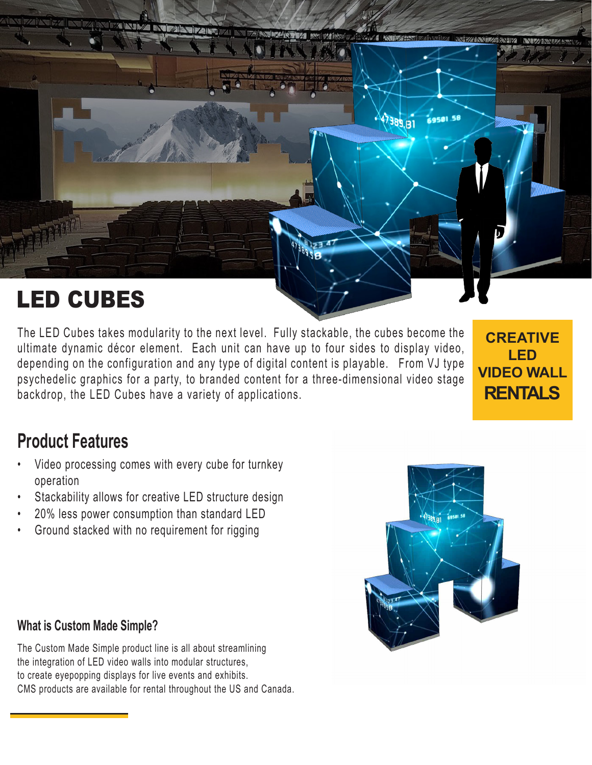

The LED Cubes takes modularity to the next level. Fully stackable, the cubes become the ultimate dynamic décor element. Each unit can have up to four sides to display video, depending on the configuration and any type of digital content is playable. From VJ type psychedelic graphics for a party, to branded content for a three-dimensional video stage backdrop, the LED Cubes have a variety of applications.

**CREATIVE LED VIDEO WALL RENTALS**

## **Product Features**

- Video processing comes with every cube for turnkey operation
- Stackability allows for creative LED structure design
- 20% less power consumption than standard LED
- Ground stacked with no requirement for rigging

## **What is Custom Made Simple?**

The Custom Made Simple product line is all about streamlining the integration of LED video walls into modular structures, to create eyepopping displays for live events and exhibits. CMS products are available for rental throughout the US and Canada.